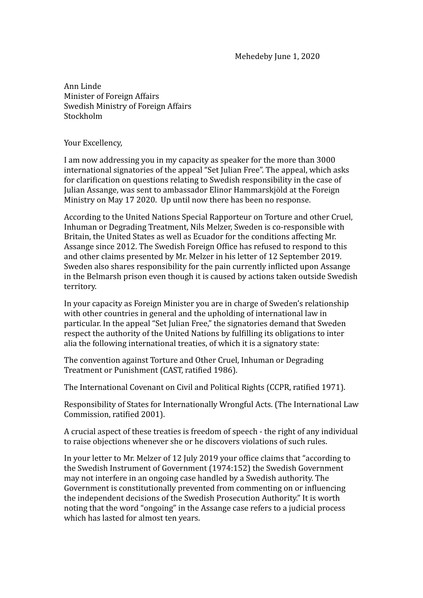Mehedeby June 1, 2020

Ann Linde Minister of Foreign Affairs Swedish Ministry of Foreign Affairs Stockholm 

Your Excellency,

I am now addressing you in my capacity as speaker for the more than 3000 international signatories of the appeal "Set Julian Free". The appeal, which asks for clarification on questions relating to Swedish responsibility in the case of Julian Assange, was sent to ambassador Elinor Hammarskjöld at the Foreign Ministry on May 17 2020. Up until now there has been no response.

According to the United Nations Special Rapporteur on Torture and other Cruel, Inhuman or Degrading Treatment, Nils Melzer, Sweden is co-responsible with Britain, the United States as well as Ecuador for the conditions affecting Mr. Assange since 2012. The Swedish Foreign Office has refused to respond to this and other claims presented by Mr. Melzer in his letter of 12 September 2019. Sweden also shares responsibility for the pain currently inflicted upon Assange in the Belmarsh prison even though it is caused by actions taken outside Swedish territory. 

In your capacity as Foreign Minister you are in charge of Sweden's relationship with other countries in general and the upholding of international law in particular. In the appeal "Set Julian Free," the signatories demand that Sweden respect the authority of the United Nations by fulfilling its obligations to inter alia the following international treaties, of which it is a signatory state:

The convention against Torture and Other Cruel, Inhuman or Degrading Treatment or Punishment (CAST, ratified 1986).

The International Covenant on Civil and Political Rights (CCPR, ratified 1971).

Responsibility of States for Internationally Wrongful Acts. (The International Law Commission, ratified 2001).

A crucial aspect of these treaties is freedom of speech - the right of any individual to raise objections whenever she or he discovers violations of such rules.

In your letter to Mr. Melzer of 12 July 2019 your office claims that "according to the Swedish Instrument of Government (1974:152) the Swedish Government may not interfere in an ongoing case handled by a Swedish authority. The Government is constitutionally prevented from commenting on or influencing the independent decisions of the Swedish Prosecution Authority." It is worth noting that the word "ongoing" in the Assange case refers to a judicial process which has lasted for almost ten years.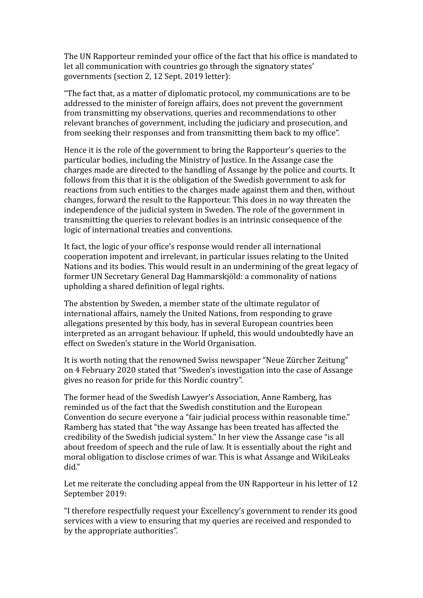The UN Rapporteur reminded your office of the fact that his office is mandated to let all communication with countries go through the signatory states' governments (section 2, 12 Sept. 2019 letter):

"The fact that, as a matter of diplomatic protocol, my communications are to be addressed to the minister of foreign affairs, does not prevent the government from transmitting my observations, queries and recommendations to other relevant branches of government, including the judiciary and prosecution, and from seeking their responses and from transmitting them back to my office".

Hence it is the role of the government to bring the Rapporteur's queries to the particular bodies, including the Ministry of Justice. In the Assange case the charges made are directed to the handling of Assange by the police and courts. It follows from this that it is the obligation of the Swedish government to ask for reactions from such entities to the charges made against them and then, without changes, forward the result to the Rapporteur. This does in no way threaten the independence of the judicial system in Sweden. The role of the government in transmitting the queries to relevant bodies is an intrinsic consequence of the logic of international treaties and conventions.

It fact, the logic of your office's response would render all international cooperation impotent and irrelevant, in particular issues relating to the United Nations and its bodies. This would result in an undermining of the great legacy of former UN Secretary General Dag Hammarskjöld: a commonality of nations upholding a shared definition of legal rights.

The abstention by Sweden, a member state of the ultimate regulator of international affairs, namely the United Nations, from responding to grave allegations presented by this body, has in several European countries been interpreted as an arrogant behaviour. If upheld, this would undoubtedly have an effect on Sweden's stature in the World Organisation.

It is worth noting that the renowned Swiss newspaper "Neue Zürcher Zeitung" on 4 February 2020 stated that "Sweden's investigation into the case of Assange gives no reason for pride for this Nordic country".

The former head of the Swedish Lawyer's Association, Anne Ramberg, has reminded us of the fact that the Swedish constitution and the European Convention do secure everyone a "fair judicial process within reasonable time." Ramberg has stated that "the way Assange has been treated has affected the credibility of the Swedish judicial system." In her view the Assange case "is all about freedom of speech and the rule of law. It is essentially about the right and moral obligation to disclose crimes of war. This is what Assange and WikiLeaks did." 

Let me reiterate the concluding appeal from the UN Rapporteur in his letter of 12 September 2019:

"I therefore respectfully request your Excellency's government to render its good services with a view to ensuring that my queries are received and responded to by the appropriate authorities".